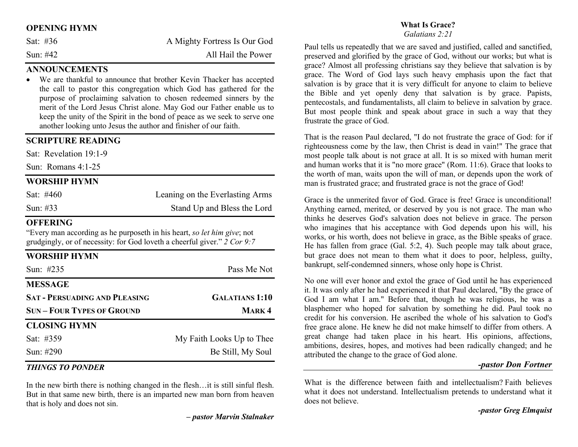### OPENING HYMN

| Sat: #36 | A Mighty Fortress Is Our God |
|----------|------------------------------|
| Sun: #42 | All Hail the Power           |

# **ANNOUNCEMENTS**

 We are thankful to announce that brother Kevin Thacker has accepted the call to pastor this congregation which God has gathered for the purpose of proclaiming salvation to chosen redeemed sinners by the merit of the Lord Jesus Christ alone. May God our Father enable us to keep the unity of the Spirit in the bond of peace as we seek to serve one another looking unto Jesus the author and finisher of our faith.

#### SCRIPTURE READING

Sat: Revelation 19:1-9

Sun: Romans 4:1-25

#### WORSHIP HYMN

| Sat: #460   | Leaning on the Everlasting Arms |
|-------------|---------------------------------|
| Sun: $\#33$ | Stand Up and Bless the Lord     |

#### **OFFERING**

"Every man according as he purposeth in his heart, so let him give; not grudgingly, or of necessity: for God loveth a cheerful giver." 2 Cor 9:7

| <b>WORSHIP HYMN</b>                  |                           |
|--------------------------------------|---------------------------|
| Sun: #235                            | Pass Me Not               |
| <b>MESSAGE</b>                       |                           |
| <b>SAT - PERSUADING AND PLEASING</b> | <b>GALATIANS 1:10</b>     |
| <b>SUN – FOUR TYPES OF GROUND</b>    | <b>MARK4</b>              |
| <b>CLOSING HYMN</b>                  |                           |
| Sat: #359                            | My Faith Looks Up to Thee |
| Sun: #290                            | Be Still, My Soul         |

#### THINGS TO PONDER

In the new birth there is nothing changed in the flesh…it is still sinful flesh. But in that same new birth, there is an imparted new man born from heaven that is holy and does not sin.

#### What Is Grace?

Galatians 2:21

Paul tells us repeatedly that we are saved and justified, called and sanctified, preserved and glorified by the grace of God, without our works; but what is grace? Almost all professing christians say they believe that salvation is by grace. The Word of God lays such heavy emphasis upon the fact that salvation is by grace that it is very difficult for anyone to claim to believe the Bible and yet openly deny that salvation is by grace. Papists, pentecostals, and fundamentalists, all claim to believe in salvation by grace. But most people think and speak about grace in such a way that they frustrate the grace of God.

That is the reason Paul declared, "I do not frustrate the grace of God: for if righteousness come by the law, then Christ is dead in vain!" The grace that most people talk about is not grace at all. It is so mixed with human merit and human works that it is "no more grace" (Rom. 11:6). Grace that looks to the worth of man, waits upon the will of man, or depends upon the work of man is frustrated grace; and frustrated grace is not the grace of God!

Grace is the unmerited favor of God. Grace is free! Grace is unconditional! Anything earned, merited, or deserved by you is not grace. The man who thinks he deserves God's salvation does not believe in grace. The person who imagines that his acceptance with God depends upon his will, his works, or his worth, does not believe in grace, as the Bible speaks of grace. He has fallen from grace (Gal. 5:2, 4). Such people may talk about grace, but grace does not mean to them what it does to poor, helpless, guilty, bankrupt, self-condemned sinners, whose only hope is Christ.

No one will ever honor and extol the grace of God until he has experienced it. It was only after he had experienced it that Paul declared, "By the grace of God I am what I am." Before that, though he was religious, he was a blasphemer who hoped for salvation by something he did. Paul took no credit for his conversion. He ascribed the whole of his salvation to God's free grace alone. He knew he did not make himself to differ from others. A great change had taken place in his heart. His opinions, affections, ambitions, desires, hopes, and motives had been radically changed; and he attributed the change to the grace of God alone.

#### -pastor Don Fortner

What is the difference between faith and intellectualism? Faith believes what it does not understand. Intellectualism pretends to understand what it does not believe.

-pastor Greg Elmquist